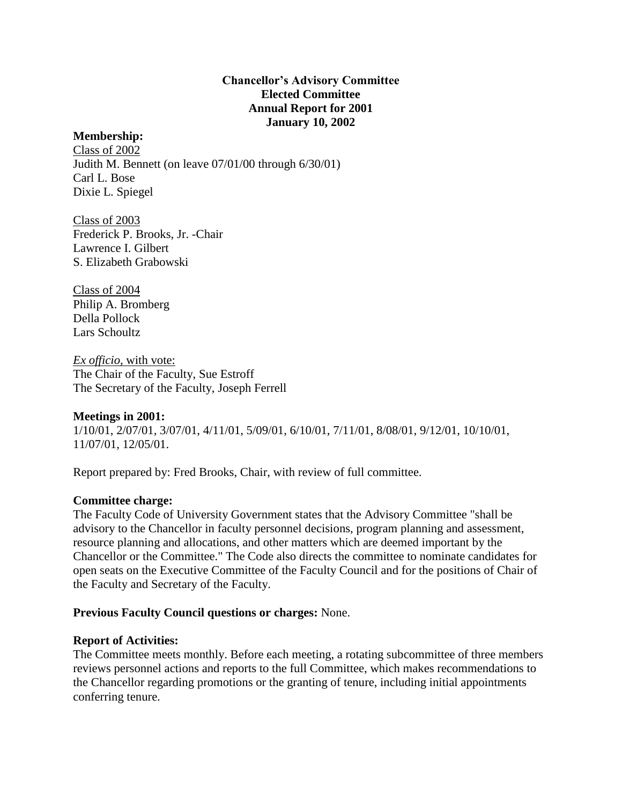## **Chancellor's Advisory Committee Elected Committee Annual Report for 2001 January 10, 2002**

### **Membership:**

Class of 2002 Judith M. Bennett (on leave 07/01/00 through 6/30/01) Carl L. Bose Dixie L. Spiegel

Class of 2003 Frederick P. Brooks, Jr. -Chair Lawrence I. Gilbert S. Elizabeth Grabowski

Class of 2004 Philip A. Bromberg Della Pollock Lars Schoultz

*Ex officio,* with vote: The Chair of the Faculty, Sue Estroff The Secretary of the Faculty, Joseph Ferrell

# **Meetings in 2001:**

1/10/01, 2/07/01, 3/07/01, 4/11/01, 5/09/01, 6/10/01, 7/11/01, 8/08/01, 9/12/01, 10/10/01, 11/07/01, 12/05/01.

Report prepared by: Fred Brooks, Chair, with review of full committee.

#### **Committee charge:**

The Faculty Code of University Government states that the Advisory Committee "shall be advisory to the Chancellor in faculty personnel decisions, program planning and assessment, resource planning and allocations, and other matters which are deemed important by the Chancellor or the Committee." The Code also directs the committee to nominate candidates for open seats on the Executive Committee of the Faculty Council and for the positions of Chair of the Faculty and Secretary of the Faculty.

#### **Previous Faculty Council questions or charges:** None.

#### **Report of Activities:**

The Committee meets monthly. Before each meeting, a rotating subcommittee of three members reviews personnel actions and reports to the full Committee, which makes recommendations to the Chancellor regarding promotions or the granting of tenure, including initial appointments conferring tenure.